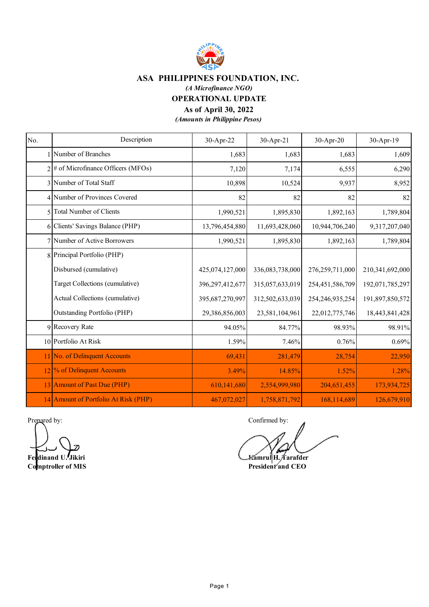

 *(A Microfinance NGO)*

**OPERATIONAL UPDATE**

#### **As of April 30, 2022**

| No. | Description                            | 30-Apr-22       | 30-Apr-21       | 30-Apr-20          | 30-Apr-19       |
|-----|----------------------------------------|-----------------|-----------------|--------------------|-----------------|
|     | Number of Branches                     | 1,683           | 1,683           | 1,683              | 1,609           |
|     | $2 \#$ of Microfinance Officers (MFOs) | 7,120           | 7,174           | 6,555              | 6,290           |
|     | 3 Number of Total Staff                | 10,898          | 10,524          | 9,937              | 8,952           |
|     | 4 Number of Provinces Covered          | 82              | 82              | 82                 | 82              |
|     | 5 Total Number of Clients              | 1,990,521       | 1,895,830       | 1,892,163          | 1,789,804       |
|     | 6 Clients' Savings Balance (PHP)       | 13,796,454,880  | 11,693,428,060  | 10,944,706,240     | 9,317,207,040   |
|     | 7 Number of Active Borrowers           | 1,990,521       | 1,895,830       | 1,892,163          | 1,789,804       |
|     | 8 Principal Portfolio (PHP)            |                 |                 |                    |                 |
|     | Disbursed (cumulative)                 | 425,074,127,000 | 336,083,738,000 | 276,259,711,000    | 210,341,692,000 |
|     | Target Collections (cumulative)        | 396,297,412,677 | 315,057,633,019 | 254,451,586,709    | 192,071,785,297 |
|     | Actual Collections (cumulative)        | 395,687,270,997 | 312,502,633,039 | 254, 246, 935, 254 | 191,897,850,572 |
|     | <b>Outstanding Portfolio (PHP)</b>     | 29,386,856,003  | 23,581,104,961  | 22,012,775,746     | 18,443,841,428  |
|     | 9 Recovery Rate                        | 94.05%          | 84.77%          | 98.93%             | 98.91%          |
|     | 10 Portfolio At Risk                   | 1.59%           | 7.46%           | 0.76%              | 0.69%           |
|     | 11 No. of Delinquent Accounts          | 69,431          | 281,479         | 28,754             | 22,950          |
|     | 12 % of Delinquent Accounts            | 3.49%           | 14.85%          | 1.52%              | 1.28%           |
|     | 13 Amount of Past Due (PHP)            | 610,141,680     | 2,554,999,980   | 204,651,455        | 173,934,725     |
|     | 14 Amount of Portfolio At Risk (PHP)   | 467,072,027     | 1,758,871,792   | 168,114,689        | 126,679,910     |

Prepared by: Confirmed by:

**Feldinand U. Jikiri Kamrul H. Tarafder Comptroller of MIS** President and CEO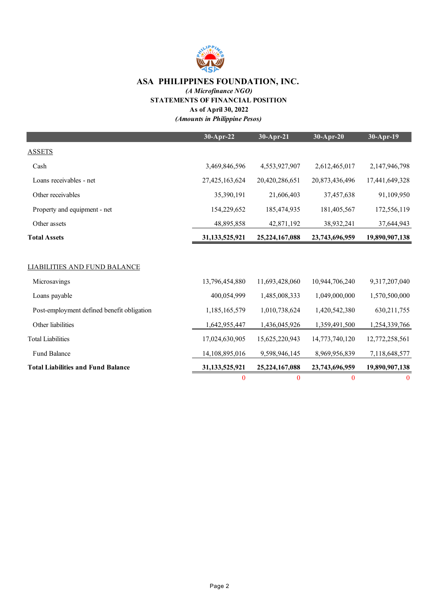

 *(A Microfinance NGO)*

**STATEMENTS OF FINANCIAL POSITION**

**As of April 30, 2022**

|                                            | 30-Apr-22      | 30-Apr-21      | $30-Apr-20$    | 30-Apr-19      |
|--------------------------------------------|----------------|----------------|----------------|----------------|
| <b>ASSETS</b>                              |                |                |                |                |
| Cash                                       | 3,469,846,596  | 4,553,927,907  | 2,612,465,017  | 2,147,946,798  |
| Loans receivables - net                    | 27,425,163,624 | 20,420,286,651 | 20,873,436,496 | 17,441,649,328 |
| Other receivables                          | 35,390,191     | 21,606,403     | 37,457,638     | 91,109,950     |
| Property and equipment - net               | 154,229,652    | 185,474,935    | 181,405,567    | 172,556,119    |
| Other assets                               | 48,895,858     | 42,871,192     | 38,932,241     | 37,644,943     |
| <b>Total Assets</b>                        | 31,133,525,921 | 25,224,167,088 | 23,743,696,959 | 19,890,907,138 |
|                                            |                |                |                |                |
| <b>LIABILITIES AND FUND BALANCE</b>        |                |                |                |                |
| Microsavings                               | 13,796,454,880 | 11,693,428,060 | 10,944,706,240 | 9,317,207,040  |
| Loans payable                              | 400,054,999    | 1,485,008,333  | 1,049,000,000  | 1,570,500,000  |
| Post-employment defined benefit obligation | 1,185,165,579  | 1,010,738,624  | 1,420,542,380  | 630, 211, 755  |
| Other liabilities                          | 1,642,955,447  | 1,436,045,926  | 1,359,491,500  | 1,254,339,766  |
| <b>Total Liabilities</b>                   | 17,024,630,905 | 15,625,220,943 | 14,773,740,120 | 12,772,258,561 |
| Fund Balance                               | 14,108,895,016 | 9,598,946,145  | 8,969,956,839  | 7,118,648,577  |
| <b>Total Liabilities and Fund Balance</b>  | 31,133,525,921 | 25,224,167,088 | 23,743,696,959 | 19,890,907,138 |
|                                            | 0              | $\bf{0}$       | $\bf{0}$       | $\bf{0}$       |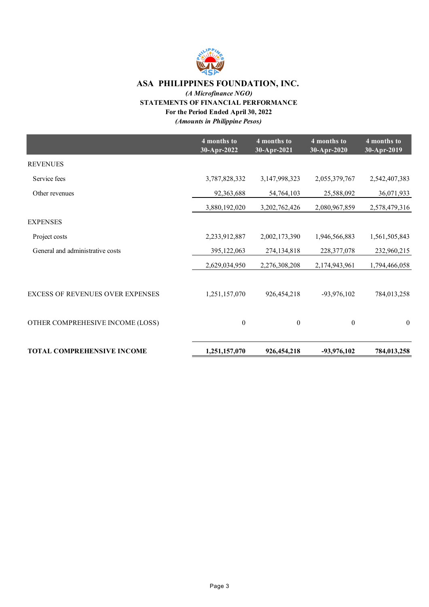

### *(A Microfinance NGO)* **STATEMENTS OF FINANCIAL PERFORMANCE For the Period Ended April 30, 2022**

|                                   | 4 months to<br>30-Apr-2022 | 4 months to<br>30-Apr-2021 | 4 months to<br>30-Apr-2020 | 4 months to<br>30-Apr-2019 |
|-----------------------------------|----------------------------|----------------------------|----------------------------|----------------------------|
| <b>REVENUES</b>                   |                            |                            |                            |                            |
| Service fees                      | 3,787,828,332              | 3,147,998,323              | 2,055,379,767              | 2,542,407,383              |
| Other revenues                    | 92,363,688                 | 54,764,103                 | 25,588,092                 | 36,071,933                 |
|                                   | 3,880,192,020              | 3, 202, 762, 426           | 2,080,967,859              | 2,578,479,316              |
| <b>EXPENSES</b>                   |                            |                            |                            |                            |
| Project costs                     | 2,233,912,887              | 2,002,173,390              | 1,946,566,883              | 1,561,505,843              |
| General and administrative costs  | 395,122,063                | 274,134,818                | 228, 377, 078              | 232,960,215                |
|                                   | 2,629,034,950              | 2,276,308,208              | 2,174,943,961              | 1,794,466,058              |
|                                   |                            |                            |                            |                            |
| EXCESS OF REVENUES OVER EXPENSES  | 1,251,157,070              | 926,454,218                | $-93,976,102$              | 784,013,258                |
| OTHER COMPREHESIVE INCOME (LOSS)  | $\boldsymbol{0}$           | $\mathbf{0}$               | $\theta$                   | $\overline{0}$             |
| <b>TOTAL COMPREHENSIVE INCOME</b> | 1,251,157,070              | 926, 454, 218              | -93,976,102                | 784,013,258                |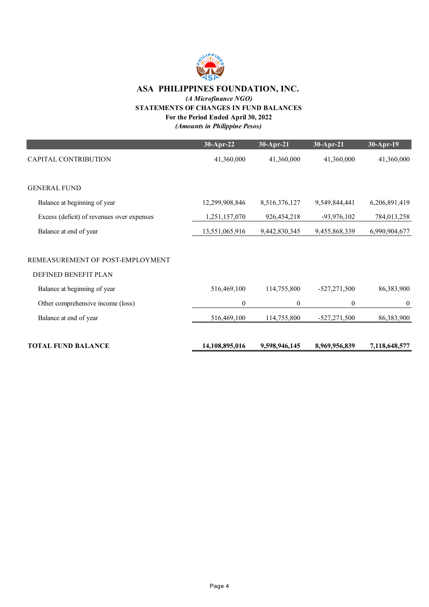

### *(A Microfinance NGO)* **STATEMENTS OF CHANGES IN FUND BALANCES**

# **For the Period Ended April 30, 2022**

|                                                          | 30-Apr-22      | $30-Apr-21$    | 30-Apr-21        | $30-Apr-19$      |
|----------------------------------------------------------|----------------|----------------|------------------|------------------|
| <b>CAPITAL CONTRIBUTION</b>                              | 41,360,000     | 41,360,000     | 41,360,000       | 41,360,000       |
| <b>GENERAL FUND</b>                                      |                |                |                  |                  |
| Balance at beginning of year                             | 12,299,908,846 | 8,516,376,127  | 9,549,844,441    | 6,206,891,419    |
| Excess (deficit) of revenues over expenses               | 1,251,157,070  | 926, 454, 218  | $-93,976,102$    | 784,013,258      |
| Balance at end of year                                   | 13,551,065,916 | 9,442,830,345  | 9,455,868,339    | 6,990,904,677    |
| REMEASUREMENT OF POST-EMPLOYMENT<br>DEFINED BENEFIT PLAN |                |                |                  |                  |
| Balance at beginning of year                             | 516,469,100    | 114,755,800    | $-527,271,500$   | 86,383,900       |
| Other comprehensive income (loss)                        | 0              | $\overline{0}$ | $\boldsymbol{0}$ | $\boldsymbol{0}$ |
| Balance at end of year                                   | 516,469,100    | 114,755,800    | $-527,271,500$   | 86,383,900       |
| <b>TOTAL FUND BALANCE</b>                                | 14,108,895,016 | 9,598,946,145  | 8,969,956,839    | 7,118,648,577    |